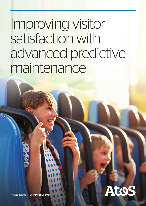# Improving visitor satisfaction with advanced predictive maintenance



Trusted partner for your Digital Journer